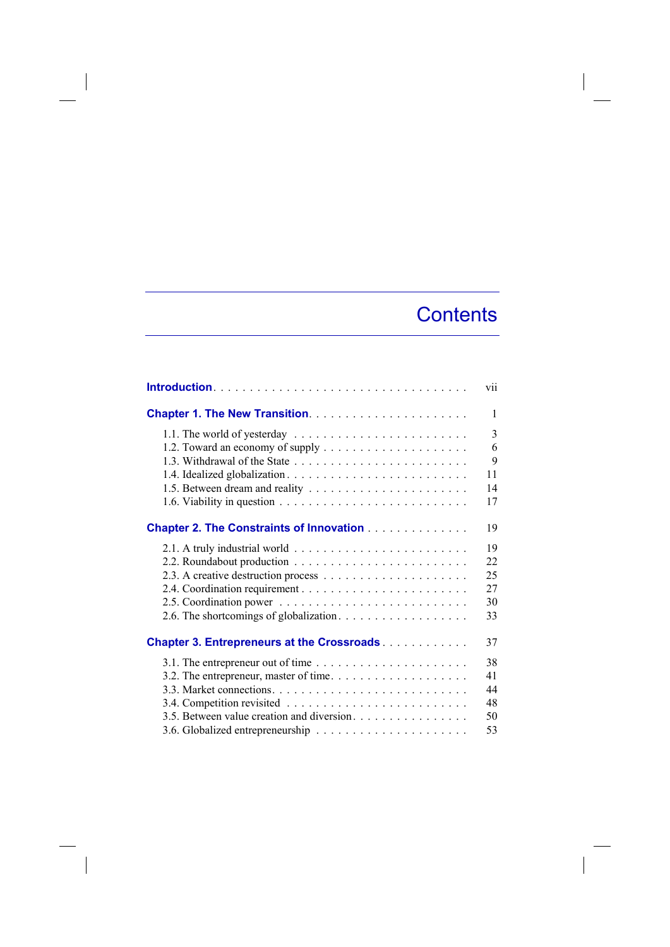## **Contents**

|                                                                                      | vii          |
|--------------------------------------------------------------------------------------|--------------|
|                                                                                      | $\mathbf{1}$ |
| 1.1. The world of yesterday                                                          | 3            |
|                                                                                      | 6            |
|                                                                                      | 9            |
|                                                                                      | 11           |
|                                                                                      | 14           |
|                                                                                      | 17           |
| <b>Chapter 2. The Constraints of Innovation</b>                                      | 19           |
|                                                                                      | 19           |
|                                                                                      | 22           |
|                                                                                      | 25           |
|                                                                                      | 27           |
|                                                                                      | 30           |
|                                                                                      | 33           |
| <b>Chapter 3. Entrepreneurs at the Crossroads</b>                                    | 37           |
| 3.1. The entrepreneur out of time $\ldots \ldots \ldots \ldots \ldots \ldots \ldots$ | 38           |
|                                                                                      | 41           |
|                                                                                      | 44           |
|                                                                                      | 48           |
| 3.5. Between value creation and diversion.                                           | 50           |
|                                                                                      | 53           |